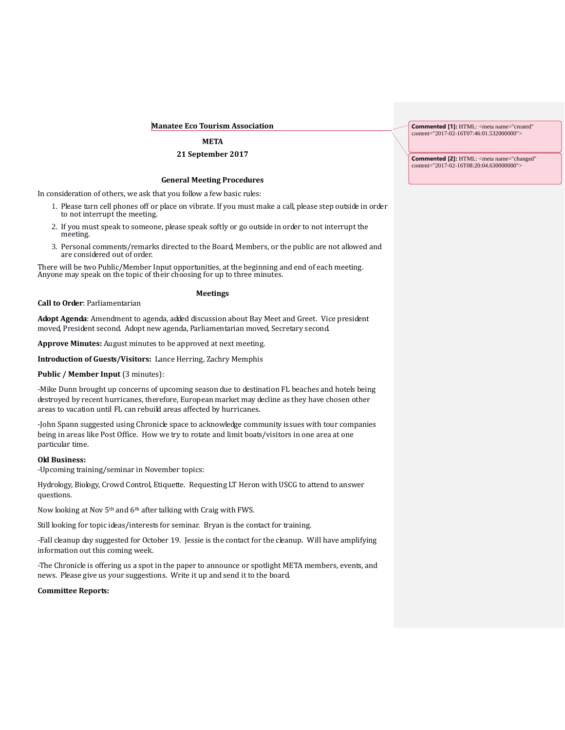### **Manatee Eco Tourism Association**

# **META**

## **21 September 2017**

### **General Meeting Procedures**

In consideration of others, we ask that you follow a few basic rules:

- 1. Please turn cell phones off or place on vibrate. If you must make a call, please step outside in order to not interrupt the meeting.
- 2. If you must speak to someone, please speak softly or go outside in order to not interrupt the meeting.
- 3. Personal comments/remarks directed to the Board, Members, or the public are not allowed and are considered out of order.

There will be two Public/Member Input opportunities, at the beginning and end of each meeting. Anyone may speak on the topic of their choosing for up to three minutes.

# **Meetings**

**Call to Order**: Parliamentarian

**Adopt Agenda**: Amendment to agenda, added discussion about Bay Meet and Greet. Vice president moved, President second. Adopt new agenda, Parliamentarian moved, Secretary second.

**Approve Minutes:** August minutes to be approved at next meeting.

**Introduction of Guests/Visitors:** Lance Herring, Zachry Memphis

## **Public / Member Input (3 minutes):**

-Mike Dunn brought up concerns of upcoming season due to destination FL beaches and hotels being destroyed by recent hurricanes, therefore, European market may decline as they have chosen other areas to vacation until FL can rebuild areas affected by hurricanes.

-John Spann suggested using Chronicle space to acknowledge community issues with tour companies being in areas like Post Office. How we try to rotate and limit boats/visitors in one area at one particular time.

#### **Old Business:**

-Upcoming training/seminar in November topics:

Hydrology, Biology, Crowd Control, Etiquette. Requesting LT Heron with USCG to attend to answer questions.

Now looking at Nov 5<sup>th</sup> and 6<sup>th</sup> after talking with Craig with FWS.

Still looking for topic ideas/interests for seminar. Bryan is the contact for training.

-Fall cleanup day suggested for October 19. Jessie is the contact for the cleanup. Will have amplifying information out this coming week.

-The Chronicle is offering us a spot in the paper to announce or spotlight META members, events, and news. Please give us your suggestions. Write it up and send it to the board.

#### **Committee Reports:**

**Commented [1]:** HTML: <meta name="created" content="2017-02-16T07:46:01.532000000">

**Commented [2]:** HTML: <meta name="changed" content="2017-02-16T08:20:04.630000000">